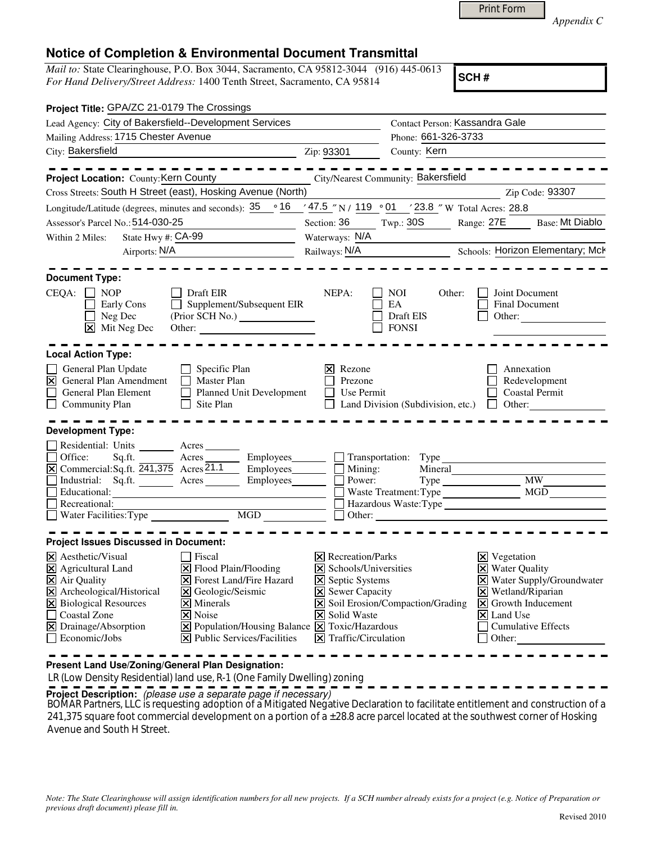|  | Print Form |
|--|------------|
|--|------------|

*Appendix C* 

## **Notice of Completion & Environmental Document Transmittal**

*Mail to:* State Clearinghouse, P.O. Box 3044, Sacramento, CA 95812-3044 (916) 445-0613 *For Hand Delivery/Street Address:* 1400 Tenth Street, Sacramento, CA 95814

**SCH #**

| Project Title: GPA/ZC 21-0179 The Crossings                                                                                                                                                                                                                                                                                                                                                                                                                                                                            |                                                                                                                                                                                                                                                          |                                                                                                                                                                                                                                           |
|------------------------------------------------------------------------------------------------------------------------------------------------------------------------------------------------------------------------------------------------------------------------------------------------------------------------------------------------------------------------------------------------------------------------------------------------------------------------------------------------------------------------|----------------------------------------------------------------------------------------------------------------------------------------------------------------------------------------------------------------------------------------------------------|-------------------------------------------------------------------------------------------------------------------------------------------------------------------------------------------------------------------------------------------|
| Lead Agency: City of Bakersfield--Development Services                                                                                                                                                                                                                                                                                                                                                                                                                                                                 | Contact Person: Kassandra Gale                                                                                                                                                                                                                           |                                                                                                                                                                                                                                           |
| Mailing Address: 1715 Chester Avenue                                                                                                                                                                                                                                                                                                                                                                                                                                                                                   | Phone: 661-326-3733                                                                                                                                                                                                                                      |                                                                                                                                                                                                                                           |
| City: Bakersfield                                                                                                                                                                                                                                                                                                                                                                                                                                                                                                      | County: Kern<br>Zip: 93301                                                                                                                                                                                                                               |                                                                                                                                                                                                                                           |
| $- - - - - - - -$                                                                                                                                                                                                                                                                                                                                                                                                                                                                                                      |                                                                                                                                                                                                                                                          |                                                                                                                                                                                                                                           |
| Project Location: County: Kern County County City/Nearest Community: Bakersfield                                                                                                                                                                                                                                                                                                                                                                                                                                       |                                                                                                                                                                                                                                                          |                                                                                                                                                                                                                                           |
| Cross Streets: South H Street (east), Hosking Avenue (North)                                                                                                                                                                                                                                                                                                                                                                                                                                                           |                                                                                                                                                                                                                                                          | Zip Code: 93307                                                                                                                                                                                                                           |
| Longitude/Latitude (degrees, minutes and seconds): $35 \cdot 916$ / 47.5 "N / 119 · 01 / 23.8 "W Total Acres: 28.8                                                                                                                                                                                                                                                                                                                                                                                                     |                                                                                                                                                                                                                                                          |                                                                                                                                                                                                                                           |
| Assessor's Parcel No.: 514-030-25                                                                                                                                                                                                                                                                                                                                                                                                                                                                                      | Section: 36<br>Twp.: $30S$                                                                                                                                                                                                                               | Range: 27E<br>Base: Mt Diablo                                                                                                                                                                                                             |
| State Hwy #: CA-99<br>Within 2 Miles:                                                                                                                                                                                                                                                                                                                                                                                                                                                                                  | Waterways: N/A                                                                                                                                                                                                                                           |                                                                                                                                                                                                                                           |
| Airports: N/A                                                                                                                                                                                                                                                                                                                                                                                                                                                                                                          | Railways: N/A                                                                                                                                                                                                                                            | Schools: Horizon Elementary; Mck                                                                                                                                                                                                          |
|                                                                                                                                                                                                                                                                                                                                                                                                                                                                                                                        |                                                                                                                                                                                                                                                          |                                                                                                                                                                                                                                           |
| <b>Document Type:</b>                                                                                                                                                                                                                                                                                                                                                                                                                                                                                                  |                                                                                                                                                                                                                                                          |                                                                                                                                                                                                                                           |
| $CEQA: \Box NP$<br>Draft EIR<br>Supplement/Subsequent EIR<br><b>Early Cons</b><br>$\Box$<br>Neg Dec<br>$\boxed{\mathsf{X}}$ Mit Neg Dec<br>Other:                                                                                                                                                                                                                                                                                                                                                                      | NEPA:<br><b>NOI</b><br>Other:<br>EA<br>Draft EIS<br><b>FONSI</b>                                                                                                                                                                                         | Joint Document<br>Final Document<br>Other:                                                                                                                                                                                                |
| <b>Local Action Type:</b>                                                                                                                                                                                                                                                                                                                                                                                                                                                                                              |                                                                                                                                                                                                                                                          |                                                                                                                                                                                                                                           |
| General Plan Update<br>$\Box$ Specific Plan<br>$\Box$ Master Plan<br>$\overline{\mathsf{x}}$<br>General Plan Amendment<br>$\Box$<br>Planned Unit Development<br>General Plan Element<br>$\Box$ Site Plan<br>$\Box$<br>Community Plan                                                                                                                                                                                                                                                                                   | Rezone<br>Ι×Ι<br>Prezone<br>Use Permit<br>$\perp$<br>$\Box$ Land Division (Subdivision, etc.)                                                                                                                                                            | Annexation<br>Redevelopment<br><b>Coastal Permit</b><br>Other:<br>$\perp$                                                                                                                                                                 |
|                                                                                                                                                                                                                                                                                                                                                                                                                                                                                                                        |                                                                                                                                                                                                                                                          |                                                                                                                                                                                                                                           |
| <b>Development Type:</b>                                                                                                                                                                                                                                                                                                                                                                                                                                                                                               |                                                                                                                                                                                                                                                          |                                                                                                                                                                                                                                           |
| Residential: Units _______ Acres_<br>Industrial: Sq.ft. Acres Employees<br>Educational:<br><u> 1989 - Johann Barbara, martin amerikan basar dan basar dan basar dalam basar dalam basar dalam basar dalam ba</u><br>$\Box$ Recreational:                                                                                                                                                                                                                                                                               | Transportation: Type<br>$\Box$<br>Mining:<br>Power:<br>$Type \_$<br>Hazardous Waste:Type                                                                                                                                                                 | Mineral<br>$\overline{\text{MW}}$                                                                                                                                                                                                         |
| <b>Project Issues Discussed in Document:</b>                                                                                                                                                                                                                                                                                                                                                                                                                                                                           |                                                                                                                                                                                                                                                          |                                                                                                                                                                                                                                           |
| $\times$ Aesthetic/Visual<br>$\blacksquare$ Fiscal<br>X Agricultural Land<br>$\Xi$ Flood Plain/Flooding<br>X Air Quality<br><b>X</b> Forest Land/Fire Hazard<br>$\overline{\mathbf{X}}$ Archeological/Historical<br>X Geologic/Seismic<br>X Biological Resources<br>$\times$ Minerals<br>$\overline{\mathsf{x}}$ Noise<br>$\Box$ Coastal Zone<br>$\boxed{\mathbf{X}}$ Population/Housing Balance $\boxed{\mathbf{X}}$ Toxic/Hazardous<br>X Drainage/Absorption<br>$\Box$ Economic/Jobs<br>X Public Services/Facilities | $\boxtimes$ Recreation/Parks<br>$\triangleright$ Schools/Universities<br><b>X</b> Septic Systems<br>X Sewer Capacity<br>$\overline{\mathbf{X}}$ Soil Erosion/Compaction/Grading<br><b>X</b> Solid Waste<br>$ \mathbf{\overline{X}} $ Traffic/Circulation | $\boxtimes$ Vegetation<br><b>X</b> Water Quality<br>X Water Supply/Groundwater<br>$\boxtimes$ Wetland/Riparian<br>$\boxed{\mathsf{X}}$ Growth Inducement<br>$\vert\mathsf{X}\vert$ Land Use<br><b>Cumulative Effects</b><br>$\Box$ Other: |

**Present Land Use/Zoning/General Plan Designation:**

LR (Low Density Residential) land use, R-1 (One Family Dwelling) zoning

**Project Description:** (please use a separate page if necessary)

BOMAR Partners, LLC is requesting adoption of a Mitigated Negative Declaration to facilitate entitlement and construction of a<br>211.275 www.factory.com/wid-dynamics/structures/structures/structures/structures/structures/str 241,375 square foot commercial development on a portion of a ±28.8 acre parcel located at the southwest corner of Hosking Avenue and South H Street.